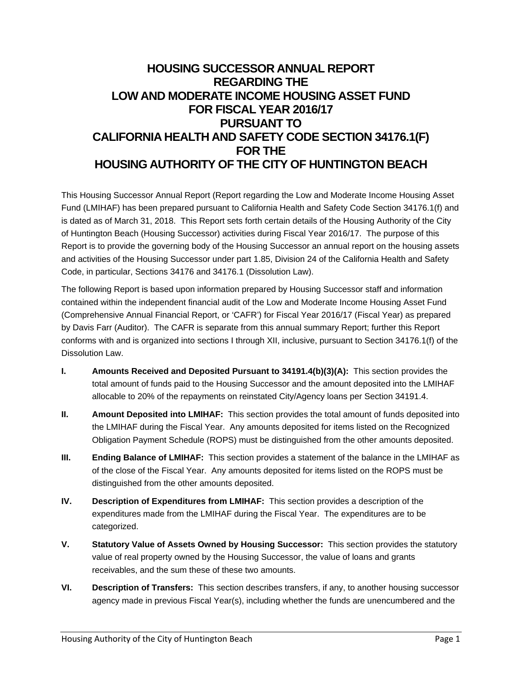# **HOUSING SUCCESSOR ANNUAL REPORT REGARDING THE LOW AND MODERATE INCOME HOUSING ASSET FUND FOR FISCAL YEAR 2016/17 PURSUANT TO CALIFORNIA HEALTH AND SAFETY CODE SECTION 34176.1(F) FOR THE HOUSING AUTHORITY OF THE CITY OF HUNTINGTON BEACH**

This Housing Successor Annual Report (Report regarding the Low and Moderate Income Housing Asset Fund (LMIHAF) has been prepared pursuant to California Health and Safety Code Section 34176.1(f) and is dated as of March 31, 2018. This Report sets forth certain details of the Housing Authority of the City of Huntington Beach (Housing Successor) activities during Fiscal Year 2016/17. The purpose of this Report is to provide the governing body of the Housing Successor an annual report on the housing assets and activities of the Housing Successor under part 1.85, Division 24 of the California Health and Safety Code, in particular, Sections 34176 and 34176.1 (Dissolution Law).

The following Report is based upon information prepared by Housing Successor staff and information contained within the independent financial audit of the Low and Moderate Income Housing Asset Fund (Comprehensive Annual Financial Report, or 'CAFR') for Fiscal Year 2016/17 (Fiscal Year) as prepared by Davis Farr (Auditor). The CAFR is separate from this annual summary Report; further this Report conforms with and is organized into sections I through XII, inclusive, pursuant to Section 34176.1(f) of the Dissolution Law.

- **I. Amounts Received and Deposited Pursuant to 34191.4(b)(3)(A):** This section provides the total amount of funds paid to the Housing Successor and the amount deposited into the LMIHAF allocable to 20% of the repayments on reinstated City/Agency loans per Section 34191.4.
- **II.** Amount Deposited into LMIHAF: This section provides the total amount of funds deposited into the LMIHAF during the Fiscal Year. Any amounts deposited for items listed on the Recognized Obligation Payment Schedule (ROPS) must be distinguished from the other amounts deposited.
- **III.** Ending Balance of LMIHAF: This section provides a statement of the balance in the LMIHAF as of the close of the Fiscal Year. Any amounts deposited for items listed on the ROPS must be distinguished from the other amounts deposited.
- **IV. Description of Expenditures from LMIHAF:** This section provides a description of the expenditures made from the LMIHAF during the Fiscal Year. The expenditures are to be categorized.
- **V. Statutory Value of Assets Owned by Housing Successor:** This section provides the statutory value of real property owned by the Housing Successor, the value of loans and grants receivables, and the sum these of these two amounts.
- **VI. Description of Transfers:** This section describes transfers, if any, to another housing successor agency made in previous Fiscal Year(s), including whether the funds are unencumbered and the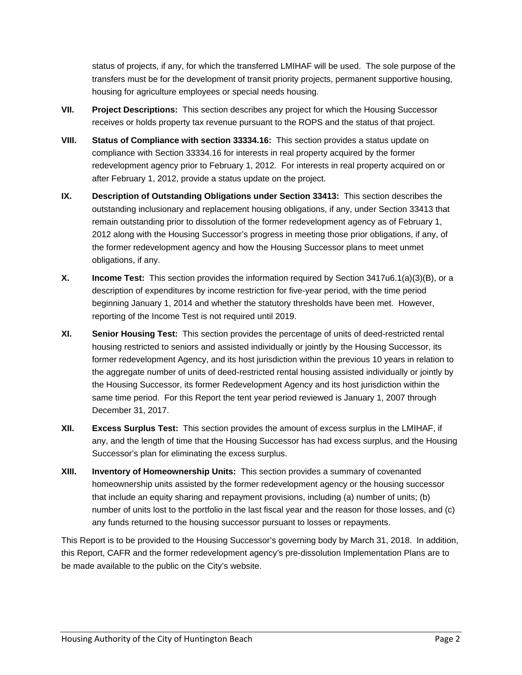status of projects, if any, for which the transferred LMIHAF will be used. The sole purpose of the transfers must be for the development of transit priority projects, permanent supportive housing, housing for agriculture employees or special needs housing.

- **VII. Project Descriptions:** This section describes any project for which the Housing Successor receives or holds property tax revenue pursuant to the ROPS and the status of that project.
- **VIII. Status of Compliance with section 33334.16:** This section provides a status update on compliance with Section 33334.16 for interests in real property acquired by the former redevelopment agency prior to February 1, 2012. For interests in real property acquired on or after February 1, 2012, provide a status update on the project.
- **IX. Description of Outstanding Obligations under Section 33413:** This section describes the outstanding inclusionary and replacement housing obligations, if any, under Section 33413 that remain outstanding prior to dissolution of the former redevelopment agency as of February 1, 2012 along with the Housing Successor's progress in meeting those prior obligations, if any, of the former redevelopment agency and how the Housing Successor plans to meet unmet obligations, if any.
- **X. Income Test:** This section provides the information required by Section 3417u6.1(a)(3)(B), or a description of expenditures by income restriction for five-year period, with the time period beginning January 1, 2014 and whether the statutory thresholds have been met. However, reporting of the Income Test is not required until 2019.
- **XI. Senior Housing Test:** This section provides the percentage of units of deed-restricted rental housing restricted to seniors and assisted individually or jointly by the Housing Successor, its former redevelopment Agency, and its host jurisdiction within the previous 10 years in relation to the aggregate number of units of deed-restricted rental housing assisted individually or jointly by the Housing Successor, its former Redevelopment Agency and its host jurisdiction within the same time period. For this Report the tent year period reviewed is January 1, 2007 through December 31, 2017.
- **XII. Excess Surplus Test:** This section provides the amount of excess surplus in the LMIHAF, if any, and the length of time that the Housing Successor has had excess surplus, and the Housing Successor's plan for eliminating the excess surplus.
- **XIII. Inventory of Homeownership Units:** This section provides a summary of covenanted homeownership units assisted by the former redevelopment agency or the housing successor that include an equity sharing and repayment provisions, including (a) number of units; (b) number of units lost to the portfolio in the last fiscal year and the reason for those losses, and (c) any funds returned to the housing successor pursuant to losses or repayments.

This Report is to be provided to the Housing Successor's governing body by March 31, 2018. In addition, this Report, CAFR and the former redevelopment agency's pre-dissolution Implementation Plans are to be made available to the public on the City's website.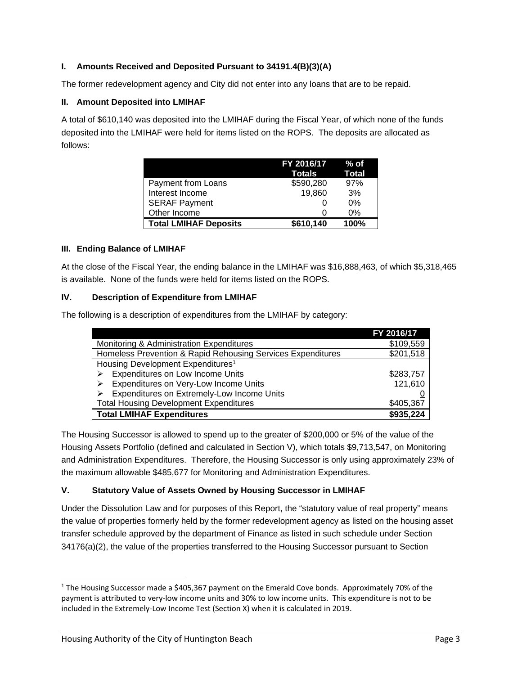# **I. Amounts Received and Deposited Pursuant to 34191.4(B)(3)(A)**

The former redevelopment agency and City did not enter into any loans that are to be repaid.

#### **II. Amount Deposited into LMIHAF**

A total of \$610,140 was deposited into the LMIHAF during the Fiscal Year, of which none of the funds deposited into the LMIHAF were held for items listed on the ROPS. The deposits are allocated as follows:

|                              | FY 2016/17 | ⊘% of        |
|------------------------------|------------|--------------|
|                              | Totals     | <b>Total</b> |
| Payment from Loans           | \$590,280  | 97%          |
| Interest Income              | 19,860     | 3%           |
| <b>SERAF Payment</b>         |            | 0%           |
| Other Income                 |            | 0%           |
| <b>Total LMIHAF Deposits</b> | \$610,140  | 100%         |

## **III. Ending Balance of LMIHAF**

At the close of the Fiscal Year, the ending balance in the LMIHAF was \$16,888,463, of which \$5,318,465 is available. None of the funds were held for items listed on the ROPS.

## **IV. Description of Expenditure from LMIHAF**

The following is a description of expenditures from the LMIHAF by category:

|                                                             | FY 2016/17 |
|-------------------------------------------------------------|------------|
| Monitoring & Administration Expenditures                    | \$109,559  |
| Homeless Prevention & Rapid Rehousing Services Expenditures | \$201,518  |
| Housing Development Expenditures <sup>1</sup>               |            |
| Expenditures on Low Income Units                            | \$283,757  |
| Expenditures on Very-Low Income Units                       | 121,610    |
| Expenditures on Extremely-Low Income Units                  |            |
| <b>Total Housing Development Expenditures</b>               | \$405,367  |
| <b>Total LMIHAF Expenditures</b>                            | \$935,224  |

The Housing Successor is allowed to spend up to the greater of \$200,000 or 5% of the value of the Housing Assets Portfolio (defined and calculated in Section V), which totals \$9,713,547, on Monitoring and Administration Expenditures. Therefore, the Housing Successor is only using approximately 23% of the maximum allowable \$485,677 for Monitoring and Administration Expenditures.

## **V. Statutory Value of Assets Owned by Housing Successor in LMIHAF**

Under the Dissolution Law and for purposes of this Report, the "statutory value of real property" means the value of properties formerly held by the former redevelopment agency as listed on the housing asset transfer schedule approved by the department of Finance as listed in such schedule under Section 34176(a)(2), the value of the properties transferred to the Housing Successor pursuant to Section

 $1$  The Housing Successor made a \$405,367 payment on the Emerald Cove bonds. Approximately 70% of the payment is attributed to very‐low income units and 30% to low income units. This expenditure is not to be included in the Extremely‐Low Income Test (Section X) when it is calculated in 2019.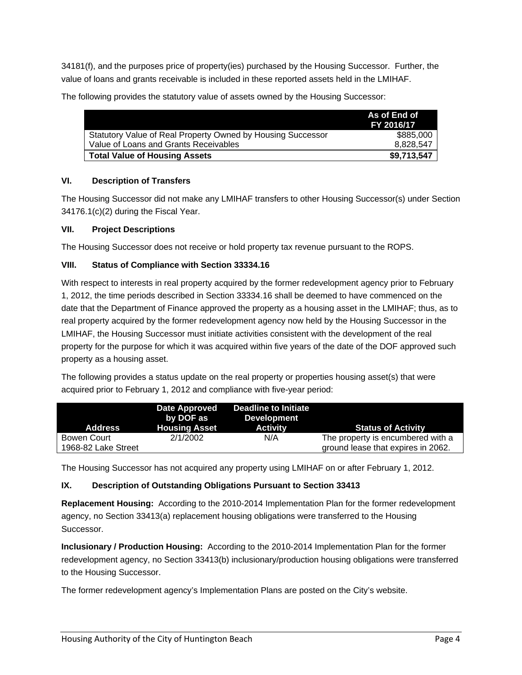34181(f), and the purposes price of property(ies) purchased by the Housing Successor. Further, the value of loans and grants receivable is included in these reported assets held in the LMIHAF.

|                                                             | As of End of<br>FY 2016/17 |
|-------------------------------------------------------------|----------------------------|
| Statutory Value of Real Property Owned by Housing Successor | \$885,000                  |
| Value of Loans and Grants Receivables                       | 8,828,547                  |
| <b>Total Value of Housing Assets</b>                        | \$9,713,547                |

The following provides the statutory value of assets owned by the Housing Successor:

# **VI. Description of Transfers**

The Housing Successor did not make any LMIHAF transfers to other Housing Successor(s) under Section 34176.1(c)(2) during the Fiscal Year.

## **VII. Project Descriptions**

The Housing Successor does not receive or hold property tax revenue pursuant to the ROPS.

## **VIII. Status of Compliance with Section 33334.16**

With respect to interests in real property acquired by the former redevelopment agency prior to February 1, 2012, the time periods described in Section 33334.16 shall be deemed to have commenced on the date that the Department of Finance approved the property as a housing asset in the LMIHAF; thus, as to real property acquired by the former redevelopment agency now held by the Housing Successor in the LMIHAF, the Housing Successor must initiate activities consistent with the development of the real property for the purpose for which it was acquired within five years of the date of the DOF approved such property as a housing asset.

The following provides a status update on the real property or properties housing asset(s) that were acquired prior to February 1, 2012 and compliance with five-year period:

| <b>Address</b>                     | Date Approved<br>by DOF as<br><b>Housing Asset</b> | Deadline to Initiate<br><b>Development</b><br><b>Activity</b> | <b>Status of Activity</b>                                               |
|------------------------------------|----------------------------------------------------|---------------------------------------------------------------|-------------------------------------------------------------------------|
| Bowen Court<br>1968-82 Lake Street | 2/1/2002                                           | N/A                                                           | The property is encumbered with a<br>ground lease that expires in 2062. |

The Housing Successor has not acquired any property using LMIHAF on or after February 1, 2012.

# **IX. Description of Outstanding Obligations Pursuant to Section 33413**

**Replacement Housing:** According to the 2010-2014 Implementation Plan for the former redevelopment agency, no Section 33413(a) replacement housing obligations were transferred to the Housing Successor.

**Inclusionary / Production Housing:** According to the 2010-2014 Implementation Plan for the former redevelopment agency, no Section 33413(b) inclusionary/production housing obligations were transferred to the Housing Successor.

The former redevelopment agency's Implementation Plans are posted on the City's website.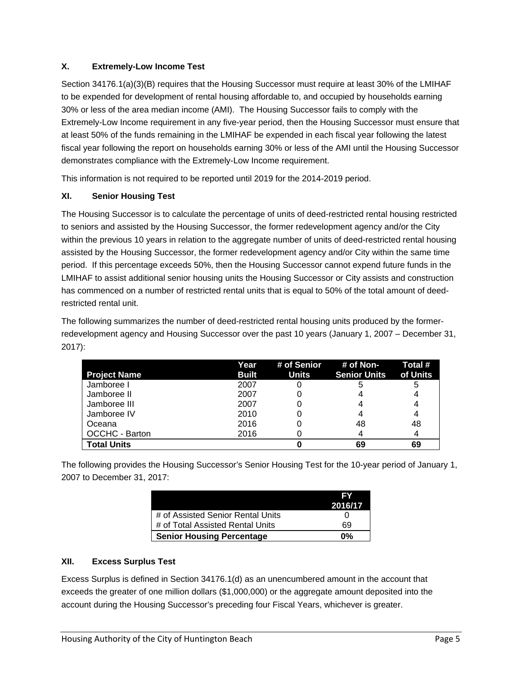# **X. Extremely-Low Income Test**

Section 34176.1(a)(3)(B) requires that the Housing Successor must require at least 30% of the LMIHAF to be expended for development of rental housing affordable to, and occupied by households earning 30% or less of the area median income (AMI). The Housing Successor fails to comply with the Extremely-Low Income requirement in any five-year period, then the Housing Successor must ensure that at least 50% of the funds remaining in the LMIHAF be expended in each fiscal year following the latest fiscal year following the report on households earning 30% or less of the AMI until the Housing Successor demonstrates compliance with the Extremely-Low Income requirement.

This information is not required to be reported until 2019 for the 2014-2019 period.

# **XI. Senior Housing Test**

The Housing Successor is to calculate the percentage of units of deed-restricted rental housing restricted to seniors and assisted by the Housing Successor, the former redevelopment agency and/or the City within the previous 10 years in relation to the aggregate number of units of deed-restricted rental housing assisted by the Housing Successor, the former redevelopment agency and/or City within the same time period. If this percentage exceeds 50%, then the Housing Successor cannot expend future funds in the LMIHAF to assist additional senior housing units the Housing Successor or City assists and construction has commenced on a number of restricted rental units that is equal to 50% of the total amount of deedrestricted rental unit.

The following summarizes the number of deed-restricted rental housing units produced by the formerredevelopment agency and Housing Successor over the past 10 years (January 1, 2007 – December 31, 2017):

|                     | Year         | # of Senior  | # of Non-           | Total #  |
|---------------------|--------------|--------------|---------------------|----------|
| <b>Project Name</b> | <b>Built</b> | <b>Units</b> | <b>Senior Units</b> | of Units |
| Jamboree I          | 2007         |              | 5                   | 5        |
| Jamboree II         | 2007         |              |                     |          |
| Jamboree III        | 2007         |              |                     |          |
| Jamboree IV         | 2010         |              |                     |          |
| Oceana              | 2016         |              | 48                  | 48       |
| OCCHC - Barton      | 2016         |              |                     |          |
| <b>Total Units</b>  |              |              | 69                  | 69       |

The following provides the Housing Successor's Senior Housing Test for the 10-year period of January 1, 2007 to December 31, 2017:

|                                   | 15Y     |
|-----------------------------------|---------|
|                                   | 2016/17 |
| # of Assisted Senior Rental Units |         |
| # of Total Assisted Rental Units  | 69      |
| <b>Senior Housing Percentage</b>  | በ%      |

# **XII. Excess Surplus Test**

Excess Surplus is defined in Section 34176.1(d) as an unencumbered amount in the account that exceeds the greater of one million dollars (\$1,000,000) or the aggregate amount deposited into the account during the Housing Successor's preceding four Fiscal Years, whichever is greater.